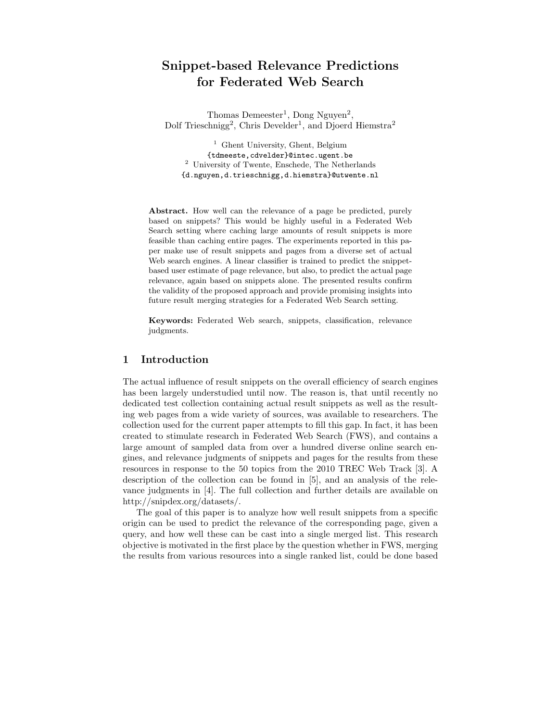# Snippet-based Relevance Predictions for Federated Web Search

Thomas Demeester<sup>1</sup>, Dong Nguyen<sup>2</sup>, Dolf Trieschnigg<sup>2</sup>, Chris Develder<sup>1</sup>, and Djoerd Hiemstra<sup>2</sup>

<sup>1</sup> Ghent University, Ghent, Belgium {tdmeeste,cdvelder}@intec.ugent.be <sup>2</sup> University of Twente, Enschede, The Netherlands {d.nguyen,d.trieschnigg,d.hiemstra}@utwente.nl

Abstract. How well can the relevance of a page be predicted, purely based on snippets? This would be highly useful in a Federated Web Search setting where caching large amounts of result snippets is more feasible than caching entire pages. The experiments reported in this paper make use of result snippets and pages from a diverse set of actual Web search engines. A linear classifier is trained to predict the snippetbased user estimate of page relevance, but also, to predict the actual page relevance, again based on snippets alone. The presented results confirm the validity of the proposed approach and provide promising insights into future result merging strategies for a Federated Web Search setting.

Keywords: Federated Web search, snippets, classification, relevance judgments.

## 1 Introduction

The actual influence of result snippets on the overall efficiency of search engines has been largely understudied until now. The reason is, that until recently no dedicated test collection containing actual result snippets as well as the resulting web pages from a wide variety of sources, was available to researchers. The collection used for the current paper attempts to fill this gap. In fact, it has been created to stimulate research in Federated Web Search (FWS), and contains a large amount of sampled data from over a hundred diverse online search engines, and relevance judgments of snippets and pages for the results from these resources in response to the 50 topics from the 2010 TREC Web Track [3]. A description of the collection can be found in [5], and an analysis of the relevance judgments in [4]. The full collection and further details are available on http://snipdex.org/datasets/.

The goal of this paper is to analyze how well result snippets from a specific origin can be used to predict the relevance of the corresponding page, given a query, and how well these can be cast into a single merged list. This research objective is motivated in the first place by the question whether in FWS, merging the results from various resources into a single ranked list, could be done based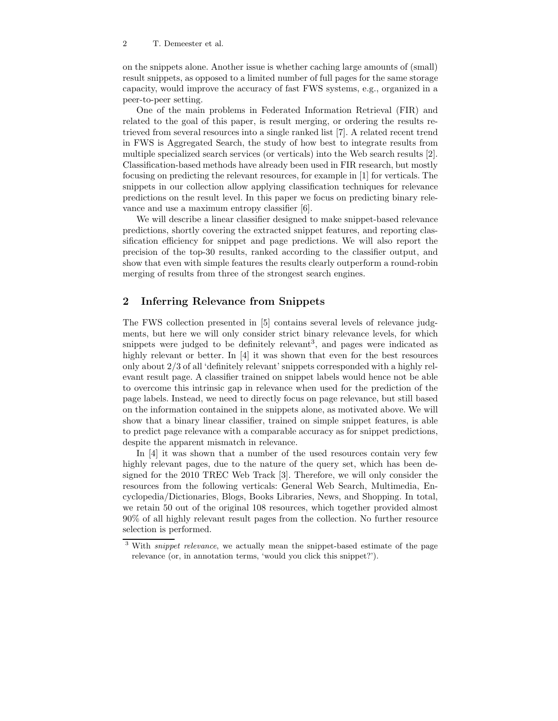on the snippets alone. Another issue is whether caching large amounts of (small) result snippets, as opposed to a limited number of full pages for the same storage capacity, would improve the accuracy of fast FWS systems, e.g., organized in a peer-to-peer setting.

One of the main problems in Federated Information Retrieval (FIR) and related to the goal of this paper, is result merging, or ordering the results retrieved from several resources into a single ranked list [7]. A related recent trend in FWS is Aggregated Search, the study of how best to integrate results from multiple specialized search services (or verticals) into the Web search results [2]. Classification-based methods have already been used in FIR research, but mostly focusing on predicting the relevant resources, for example in [1] for verticals. The snippets in our collection allow applying classification techniques for relevance predictions on the result level. In this paper we focus on predicting binary relevance and use a maximum entropy classifier [6].

We will describe a linear classifier designed to make snippet-based relevance predictions, shortly covering the extracted snippet features, and reporting classification efficiency for snippet and page predictions. We will also report the precision of the top-30 results, ranked according to the classifier output, and show that even with simple features the results clearly outperform a round-robin merging of results from three of the strongest search engines.

## 2 Inferring Relevance from Snippets

The FWS collection presented in [5] contains several levels of relevance judgments, but here we will only consider strict binary relevance levels, for which snippets were judged to be definitely relevant<sup>3</sup>, and pages were indicated as highly relevant or better. In [4] it was shown that even for the best resources only about 2/3 of all 'definitely relevant' snippets corresponded with a highly relevant result page. A classifier trained on snippet labels would hence not be able to overcome this intrinsic gap in relevance when used for the prediction of the page labels. Instead, we need to directly focus on page relevance, but still based on the information contained in the snippets alone, as motivated above. We will show that a binary linear classifier, trained on simple snippet features, is able to predict page relevance with a comparable accuracy as for snippet predictions, despite the apparent mismatch in relevance.

In [4] it was shown that a number of the used resources contain very few highly relevant pages, due to the nature of the query set, which has been designed for the 2010 TREC Web Track [3]. Therefore, we will only consider the resources from the following verticals: General Web Search, Multimedia, Encyclopedia/Dictionaries, Blogs, Books Libraries, News, and Shopping. In total, we retain 50 out of the original 108 resources, which together provided almost 90% of all highly relevant result pages from the collection. No further resource selection is performed.

<sup>&</sup>lt;sup>3</sup> With *snippet relevance*, we actually mean the snippet-based estimate of the page relevance (or, in annotation terms, 'would you click this snippet?').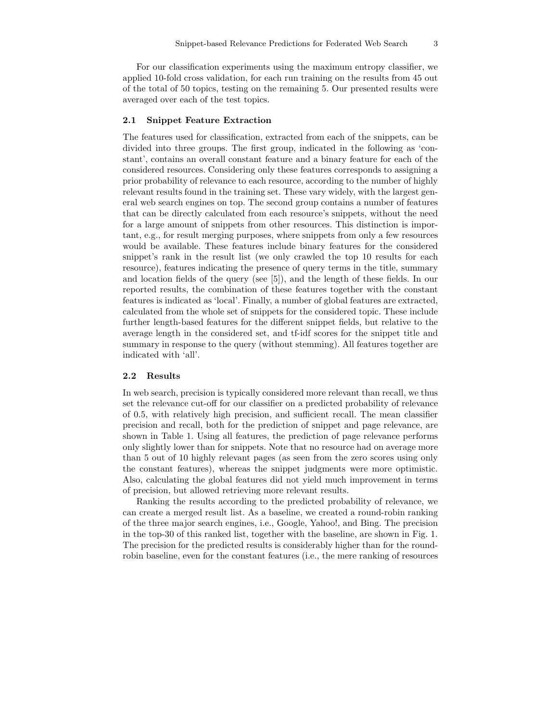For our classification experiments using the maximum entropy classifier, we applied 10-fold cross validation, for each run training on the results from 45 out of the total of 50 topics, testing on the remaining 5. Our presented results were averaged over each of the test topics.

#### 2.1 Snippet Feature Extraction

The features used for classification, extracted from each of the snippets, can be divided into three groups. The first group, indicated in the following as 'constant', contains an overall constant feature and a binary feature for each of the considered resources. Considering only these features corresponds to assigning a prior probability of relevance to each resource, according to the number of highly relevant results found in the training set. These vary widely, with the largest general web search engines on top. The second group contains a number of features that can be directly calculated from each resource's snippets, without the need for a large amount of snippets from other resources. This distinction is important, e.g., for result merging purposes, where snippets from only a few resources would be available. These features include binary features for the considered snippet's rank in the result list (we only crawled the top 10 results for each resource), features indicating the presence of query terms in the title, summary and location fields of the query (see [5]), and the length of these fields. In our reported results, the combination of these features together with the constant features is indicated as 'local'. Finally, a number of global features are extracted, calculated from the whole set of snippets for the considered topic. These include further length-based features for the different snippet fields, but relative to the average length in the considered set, and tf-idf scores for the snippet title and summary in response to the query (without stemming). All features together are indicated with 'all'.

### 2.2 Results

In web search, precision is typically considered more relevant than recall, we thus set the relevance cut-off for our classifier on a predicted probability of relevance of 0.5, with relatively high precision, and sufficient recall. The mean classifier precision and recall, both for the prediction of snippet and page relevance, are shown in Table 1. Using all features, the prediction of page relevance performs only slightly lower than for snippets. Note that no resource had on average more than 5 out of 10 highly relevant pages (as seen from the zero scores using only the constant features), whereas the snippet judgments were more optimistic. Also, calculating the global features did not yield much improvement in terms of precision, but allowed retrieving more relevant results.

Ranking the results according to the predicted probability of relevance, we can create a merged result list. As a baseline, we created a round-robin ranking of the three major search engines, i.e., Google, Yahoo!, and Bing. The precision in the top-30 of this ranked list, together with the baseline, are shown in Fig. 1. The precision for the predicted results is considerably higher than for the roundrobin baseline, even for the constant features (i.e., the mere ranking of resources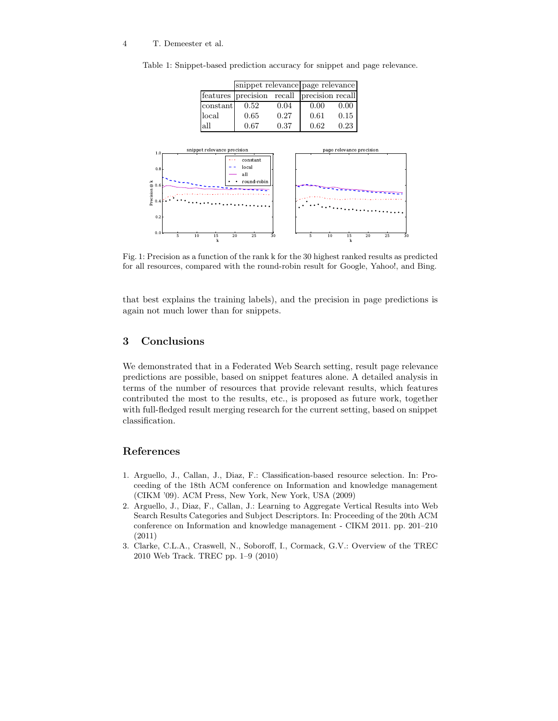#### 4 T. Demeester et al.

|                             | features | precision   | recall | precision recall         |      |          |    |
|-----------------------------|----------|-------------|--------|--------------------------|------|----------|----|
|                             | constant | 0.52        | 0.04   | 0.00                     | 0.00 |          |    |
|                             | local    | 0.65        | 0.27   | 0.61                     | 0.15 |          |    |
|                             | all      | 0.67        | 0.37   | 0.62                     | 0.23 |          |    |
|                             |          |             |        |                          |      |          |    |
| snippet relevance precision |          |             |        | page relevance precision |      |          |    |
| 1.0 <sub>1</sub>            | .        | constant    |        |                          |      |          |    |
| 0.8                         |          | local       |        |                          |      |          |    |
|                             |          | all         |        |                          |      |          |    |
|                             |          | round-robin |        |                          |      |          |    |
| $@>0.6$ @ 0.6<br>hecision 3 |          |             |        |                          |      |          |    |
|                             |          |             |        |                          |      |          |    |
| 0.2                         |          |             |        |                          |      |          |    |
|                             |          |             |        |                          |      |          |    |
| $_{0.0}$<br>5<br>10         | 15       | 25<br>20    | 30     | 5<br>10                  | 15   | 20<br>25 | 30 |
|                             | k        |             |        |                          | k    |          |    |

Table 1: Snippet-based prediction accuracy for snippet and page relevance.

snippet relevance page relevance

Fig. 1: Precision as a function of the rank k for the 30 highest ranked results as predicted for all resources, compared with the round-robin result for Google, Yahoo!, and Bing.

that best explains the training labels), and the precision in page predictions is again not much lower than for snippets.

# 3 Conclusions

We demonstrated that in a Federated Web Search setting, result page relevance predictions are possible, based on snippet features alone. A detailed analysis in terms of the number of resources that provide relevant results, which features contributed the most to the results, etc., is proposed as future work, together with full-fledged result merging research for the current setting, based on snippet classification.

# References

- 1. Arguello, J., Callan, J., Diaz, F.: Classification-based resource selection. In: Proceeding of the 18th ACM conference on Information and knowledge management (CIKM '09). ACM Press, New York, New York, USA (2009)
- 2. Arguello, J., Diaz, F., Callan, J.: Learning to Aggregate Vertical Results into Web Search Results Categories and Subject Descriptors. In: Proceeding of the 20th ACM conference on Information and knowledge management - CIKM 2011. pp. 201–210 (2011)
- 3. Clarke, C.L.A., Craswell, N., Soboroff, I., Cormack, G.V.: Overview of the TREC 2010 Web Track. TREC pp. 1–9 (2010)